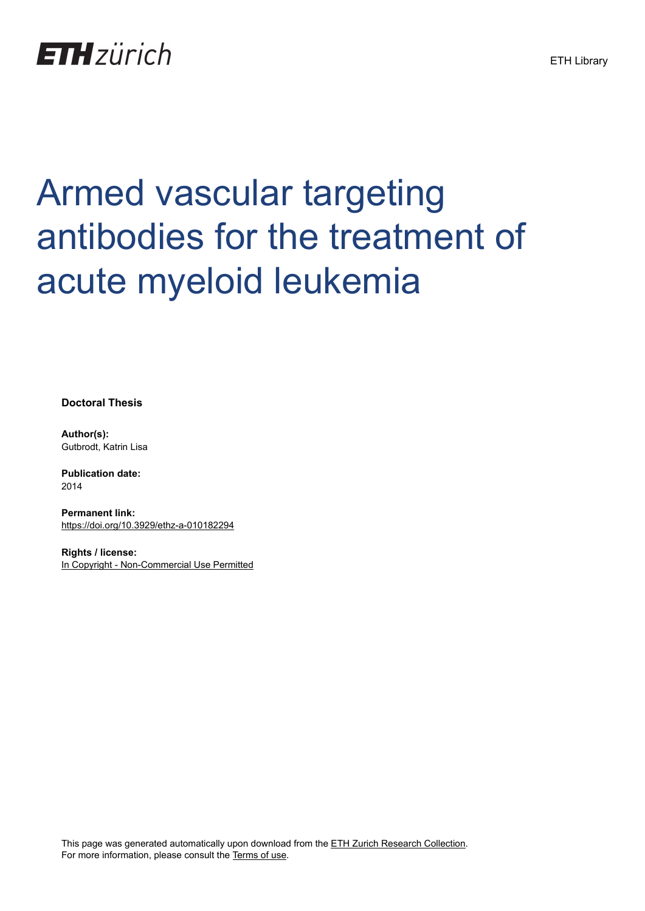

## Armed vascular targeting antibodies for the treatment of acute myeloid leukemia

**Doctoral Thesis**

**Author(s):** Gutbrodt, Katrin Lisa

**Publication date:** 2014

**Permanent link:** <https://doi.org/10.3929/ethz-a-010182294>

**Rights / license:** [In Copyright - Non-Commercial Use Permitted](http://rightsstatements.org/page/InC-NC/1.0/)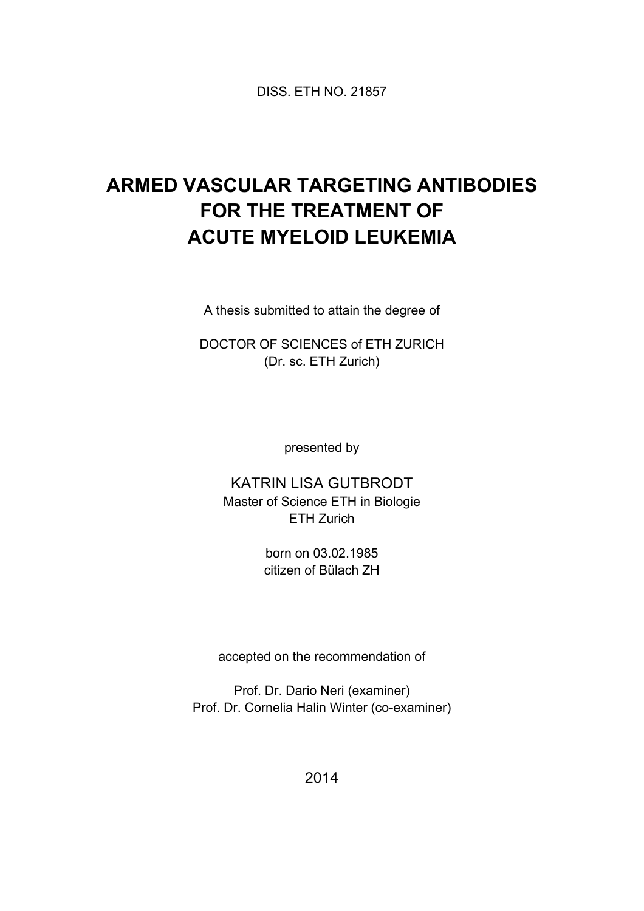DISS. ETH NO. 21857

## **ARMED VASCULAR TARGETING ANTIBODIES FOR THE TREATMENT OF ACUTE MYELOID LEUKEMIA**

A thesis submitted to attain the degree of

DOCTOR OF SCIENCES of ETH ZURICH (Dr. sc. ETH Zurich)

presented by

KATRIN LISA GUTBRODT Master of Science ETH in Biologie ETH Zurich

> born on 03.02.1985 citizen of Bülach ZH

accepted on the recommendation of

Prof. Dr. Dario Neri (examiner) Prof. Dr. Cornelia Halin Winter (co-examiner)

2014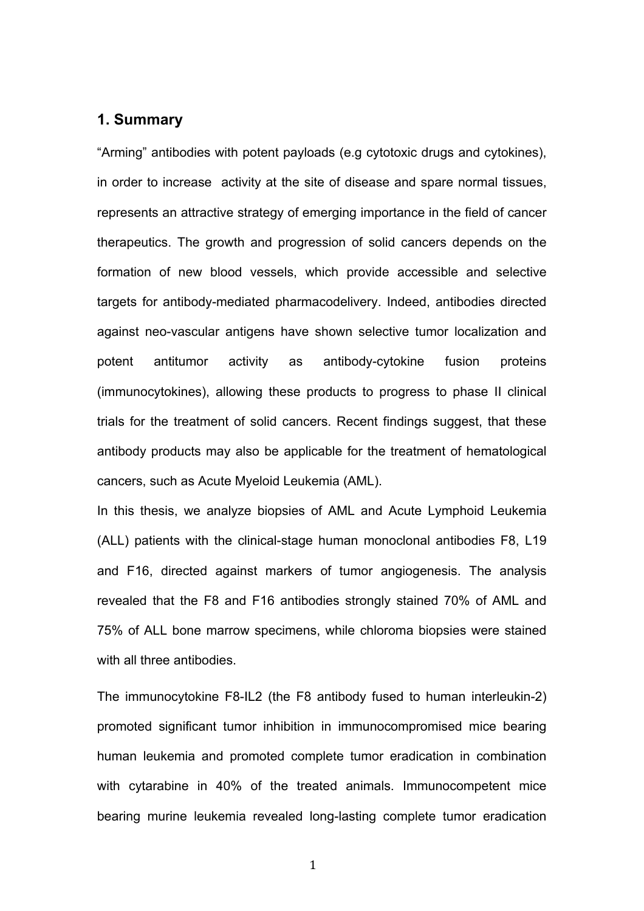## **1. Summary**

"Arming" antibodies with potent payloads (e.g cytotoxic drugs and cytokines), in order to increase activity at the site of disease and spare normal tissues, represents an attractive strategy of emerging importance in the field of cancer therapeutics. The growth and progression of solid cancers depends on the formation of new blood vessels, which provide accessible and selective targets for antibody-mediated pharmacodelivery. Indeed, antibodies directed against neo-vascular antigens have shown selective tumor localization and potent antitumor activity as antibody-cytokine fusion proteins (immunocytokines), allowing these products to progress to phase II clinical trials for the treatment of solid cancers. Recent findings suggest, that these antibody products may also be applicable for the treatment of hematological cancers, such as Acute Myeloid Leukemia (AML).

In this thesis, we analyze biopsies of AML and Acute Lymphoid Leukemia (ALL) patients with the clinical-stage human monoclonal antibodies F8, L19 and F16, directed against markers of tumor angiogenesis. The analysis revealed that the F8 and F16 antibodies strongly stained 70% of AML and 75% of ALL bone marrow specimens, while chloroma biopsies were stained with all three antibodies.

The immunocytokine F8-IL2 (the F8 antibody fused to human interleukin-2) promoted significant tumor inhibition in immunocompromised mice bearing human leukemia and promoted complete tumor eradication in combination with cytarabine in 40% of the treated animals. Immunocompetent mice bearing murine leukemia revealed long-lasting complete tumor eradication

**1**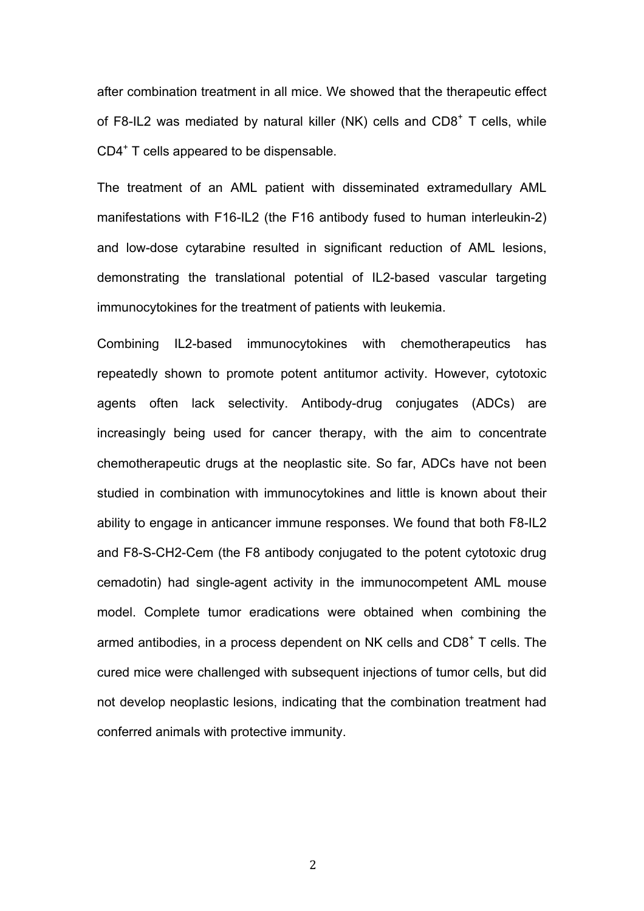after combination treatment in all mice. We showed that the therapeutic effect of F8-IL2 was mediated by natural killer (NK) cells and  $CDS<sup>+</sup> T$  cells, while CD4<sup>+</sup> T cells appeared to be dispensable.

The treatment of an AML patient with disseminated extramedullary AML manifestations with F16-IL2 (the F16 antibody fused to human interleukin-2) and low-dose cytarabine resulted in significant reduction of AML lesions, demonstrating the translational potential of IL2-based vascular targeting immunocytokines for the treatment of patients with leukemia.

Combining IL2-based immunocytokines with chemotherapeutics has repeatedly shown to promote potent antitumor activity. However, cytotoxic agents often lack selectivity. Antibody-drug conjugates (ADCs) are increasingly being used for cancer therapy, with the aim to concentrate chemotherapeutic drugs at the neoplastic site. So far, ADCs have not been studied in combination with immunocytokines and little is known about their ability to engage in anticancer immune responses. We found that both F8-IL2 and F8-S-CH2-Cem (the F8 antibody conjugated to the potent cytotoxic drug cemadotin) had single-agent activity in the immunocompetent AML mouse model. Complete tumor eradications were obtained when combining the armed antibodies, in a process dependent on NK cells and  $CDS<sup>+</sup> T$  cells. The cured mice were challenged with subsequent injections of tumor cells, but did not develop neoplastic lesions, indicating that the combination treatment had conferred animals with protective immunity.

 $\overline{2}$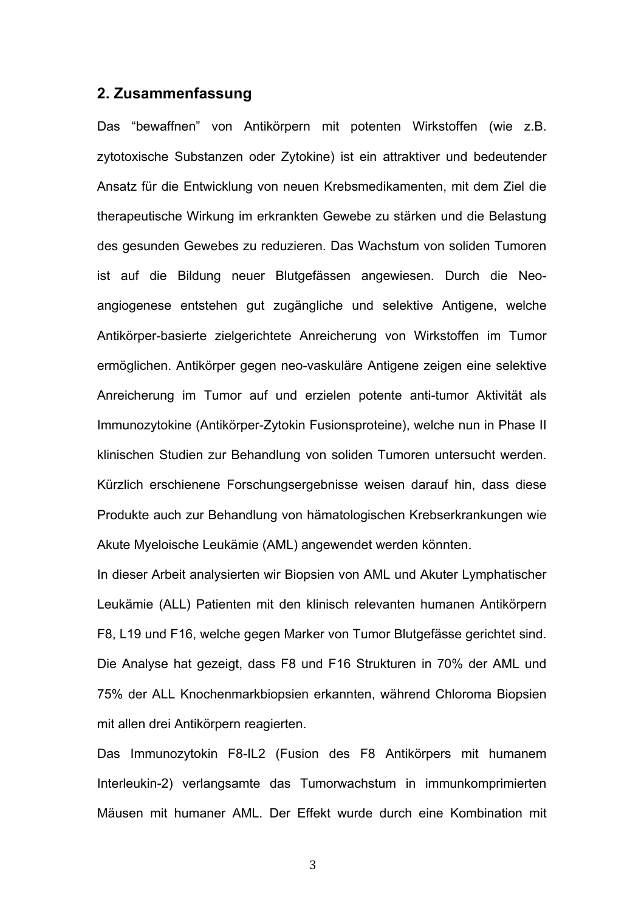## **2. Zusammenfassung**

Das "bewaffnen" von Antikörpern mit potenten Wirkstoffen (wie z.B. zytotoxische Substanzen oder Zytokine) ist ein attraktiver und bedeutender Ansatz für die Entwicklung von neuen Krebsmedikamenten, mit dem Ziel die therapeutische Wirkung im erkrankten Gewebe zu stärken und die Belastung des gesunden Gewebes zu reduzieren. Das Wachstum von soliden Tumoren ist auf die Bildung neuer Blutgefässen angewiesen. Durch die Neoangiogenese entstehen gut zugängliche und selektive Antigene, welche Antikörper-basierte zielgerichtete Anreicherung von Wirkstoffen im Tumor ermöglichen. Antikörper gegen neo-vaskuläre Antigene zeigen eine selektive Anreicherung im Tumor auf und erzielen potente anti-tumor Aktivität als Immunozytokine (Antikörper-Zytokin Fusionsproteine), welche nun in Phase II klinischen Studien zur Behandlung von soliden Tumoren untersucht werden. Kürzlich erschienene Forschungsergebnisse weisen darauf hin, dass diese Produkte auch zur Behandlung von hämatologischen Krebserkrankungen wie Akute Myeloische Leukämie (AML) angewendet werden könnten.

In dieser Arbeit analysierten wir Biopsien von AML und Akuter Lymphatischer Leukämie (ALL) Patienten mit den klinisch relevanten humanen Antikörpern F8, L19 und F16, welche gegen Marker von Tumor Blutgefässe gerichtet sind. Die Analyse hat gezeigt, dass F8 und F16 Strukturen in 70% der AML und 75% der ALL Knochenmarkbiopsien erkannten, während Chloroma Biopsien mit allen drei Antikörpern reagierten.

Das Immunozytokin F8-IL2 (Fusion des F8 Antikörpers mit humanem Interleukin-2) verlangsamte das Tumorwachstum in immunkomprimierten Mäusen mit humaner AML. Der Effekt wurde durch eine Kombination mit

%!